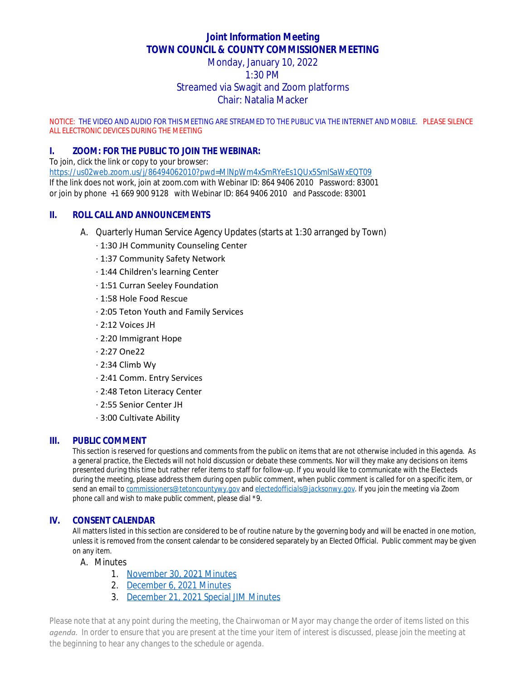# **Joint Information Meeting TOWN COUNCIL & COUNTY COMMISSIONER MEETING**

# Monday, January 10, 2022 1:30 PM Streamed via Swagit and Zoom platforms Chair: Natalia Macker

NOTICE: THE VIDEO AND AUDIO FOR THIS MEETING ARE STREAMED TO THE PUBLIC VIA THE INTERNET AND MOBILE. PLEASE SILENCE ALL ELECTRONIC DEVICES DURING THE MEETING

## **I. ZOOM: FOR THE PUBLIC TO JOIN THE WEBINAR:**

To join, click the link or copy to your browser: <https://us02web.zoom.us/j/86494062010?pwd=MlNpWm4xSmRYeEs1QUx5SmlSaWxEQT09> If the link does not work, join at zoom.com with Webinar ID: 864 9406 2010 Password: 83001 or join by phone +1 669 900 9128 with Webinar ID: 864 9406 2010 and Passcode: 83001

#### **II. ROLL CALL AND ANNOUNCEMENTS**

- A. Quarterly Human Service Agency Updates (starts at 1:30 arranged by Town)
	- · 1:30 JH Community Counseling Center
	- · 1:37 Community Safety Network
	- · 1:44 Children's learning Center
	- · 1:51 Curran Seeley Foundation
	- · 1:58 Hole Food Rescue
	- · 2:05 Teton Youth and Family Services
	- · 2:12 Voices JH
	- · 2:20 Immigrant Hope
	- · 2:27 One22
	- · 2:34 Climb Wy
	- · 2:41 Comm. Entry Services
	- · 2:48 Teton Literacy Center
	- · 2:55 Senior Center JH
	- · 3:00 Cultivate Ability

#### **III. PUBLIC COMMENT**

This section is reserved for questions and comments from the public on items that are not otherwise included in this agenda. As a general practice, the Electeds will not hold discussion or debate these comments. Nor will they make any decisions on items presented during this time but rather refer items to staff for follow-up. If you would like to communicate with the Electeds during the meeting, please address them during open public comment, when public comment is called for on a specific item, or send an email to *[commissioners@tetoncountywy.gov](mailto:commissioners@tetoncountywy.gov) and [electedofficials@jacksonwy.gov](mailto:electedofficials@jacksonwy.gov). If you join the meeting via Zoom phone call and wish to make public comment, please dial \*9.*

#### **IV. CONSENT CALENDAR**

All matters listed in this section are considered to be of routine nature by the governing body and will be enacted in one motion, unless it is removed from the consent calendar to be considered separately by an Elected Official. Public comment may be given on any item.

A. Minutes

- 1. [November 30, 2021 Minutes](https://tetoncountywy.gov/DocumentCenter/View/20831/11-30-21-SpcJIM-Mins--Board-Interviews)
- 2. [December 6, 2021 Minutes](https://tetoncountywy.gov/DocumentCenter/View/20832/12-06-21-JIM-Mins)
- 3. [December 21, 2021 Special JIM Minutes](https://tetoncountywy.gov/DocumentCenter/View/20833/12-21-21-SpcJIM-Mins)

*Please note that at any point during the meeting, the Chairwoman or Mayor may change the order of items listed on this agenda. In order to ensure that you are present at the time your item of interest is discussed, please join the meeting at the beginning to hear any changes to the schedule or agenda.*